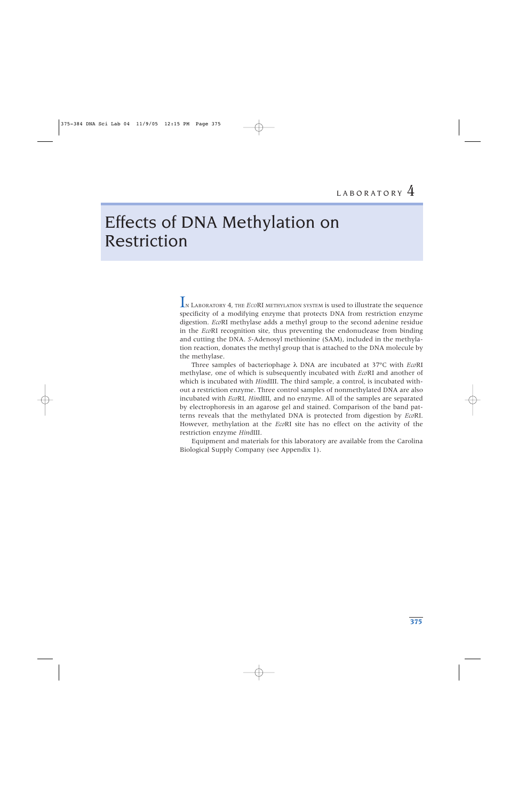# Effects of DNA Methylation on Restriction

IN LABORATORY 4, THE *ECO*RI METHYLATION SYSTEM is used to illustrate the sequence specificity of a modifying enzyme that protects DNA from restriction enzyme digestion. *Eco*RI methylase adds a methyl group to the second adenine residue in the *Eco*RI recognition site, thus preventing the endonuclease from binding and cutting the DNA. *S*-Adenosyl methionine (SAM), included in the methylation reaction, donates the methyl group that is attached to the DNA molecule by the methylase.

Three samples of bacteriophage λ DNA are incubated at 37ºC with *Eco*RI methylase, one of which is subsequently incubated with *Eco*RI and another of which is incubated with *Hin*dIII. The third sample, a control, is incubated without a restriction enzyme. Three control samples of nonmethylated DNA are also incubated with *Eco*RI, *Hin*dIII, and no enzyme. All of the samples are separated by electrophoresis in an agarose gel and stained. Comparison of the band patterns reveals that the methylated DNA is protected from digestion by *Eco*RI. However, methylation at the *Eco*RI site has no effect on the activity of the restriction enzyme *Hin*dIII.

Equipment and materials for this laboratory are available from the Carolina Biological Supply Company (see Appendix 1).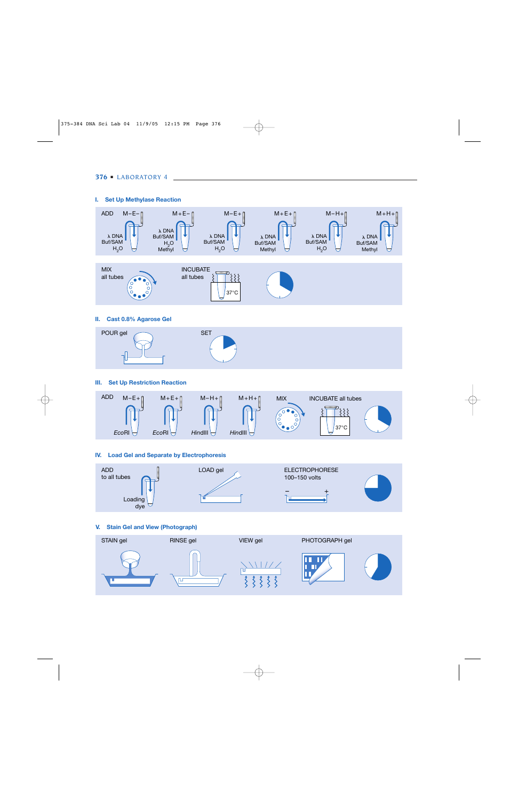#### **376** ■ LABORATORY 4

#### **I. Set Up Methylase Reaction**



#### **II. Cast 0.8% Agarose Gel**



#### **III. Set Up Restriction Reaction**



#### **IV. Load Gel and Separate by Electrophoresis**



### **V. Stain Gel and View (Photograph)**

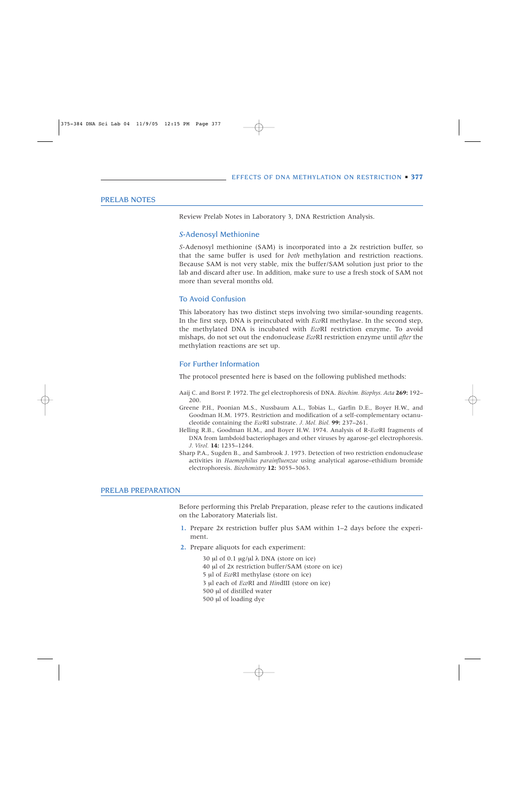#### PRELAB NOTES

Review Prelab Notes in Laboratory 3, DNA Restriction Analysis.

### *S*-Adenosyl Methionine

*S*-Adenosyl methionine (SAM) is incorporated into a 2x restriction buffer, so that the same buffer is used for *both* methylation and restriction reactions. Because SAM is not very stable, mix the buffer/SAM solution just prior to the lab and discard after use. In addition, make sure to use a fresh stock of SAM not more than several months old.

### To Avoid Confusion

This laboratory has two distinct steps involving two similar-sounding reagents. In the first step, DNA is preincubated with *Eco*RI methylase. In the second step, the methylated DNA is incubated with *Eco*RI restriction enzyme. To avoid mishaps, do not set out the endonuclease *Eco*RI restriction enzyme until *after* the methylation reactions are set up.

### For Further Information

The protocol presented here is based on the following published methods:

- Aaij C. and Borst P. 1972. The gel electrophoresis of DNA. *Biochim. Biophys. Acta* **269:** 192– 200.
- Greene P.H., Poonian M.S., Nussbaum A.L., Tobias L., Garfin D.E., Boyer H.W., and Goodman H.M. 1975. Restriction and modification of a self-complementary octanucleotide containing the *Eco*RI substrate. *J. Mol. Biol.* **99:** 237–261.
- Helling R.B., Goodman H.M., and Boyer H.W. 1974. Analysis of R-*Eco*RI fragments of DNA from lambdoid bacteriophages and other viruses by agarose-gel electrophoresis. *J. Virol.* **14:** 1235–1244.
- Sharp P.A., Sugden B., and Sambrook J. 1973. Detection of two restriction endonuclease activities in *Haemophilus parainfluenzae* using analytical agarose–ethidium bromide electrophoresis. *Biochemistry* **12:** 3055–3063.

#### PRELAB PREPARATION

Before performing this Prelab Preparation, please refer to the cautions indicated on the Laboratory Materials list.

- 1. Prepare 2x restriction buffer plus SAM within 1–2 days before the experiment.
- 2. Prepare aliquots for each experiment:

30 μl of 0.1 μg/μl  $\lambda$  DNA (store on ice) µl of 2x restriction buffer/SAM (store on ice) µl of *Eco*RI methylase (store on ice) µl each of *Eco*RI and *Hin*dIII (store on ice) µl of distilled water µl of loading dye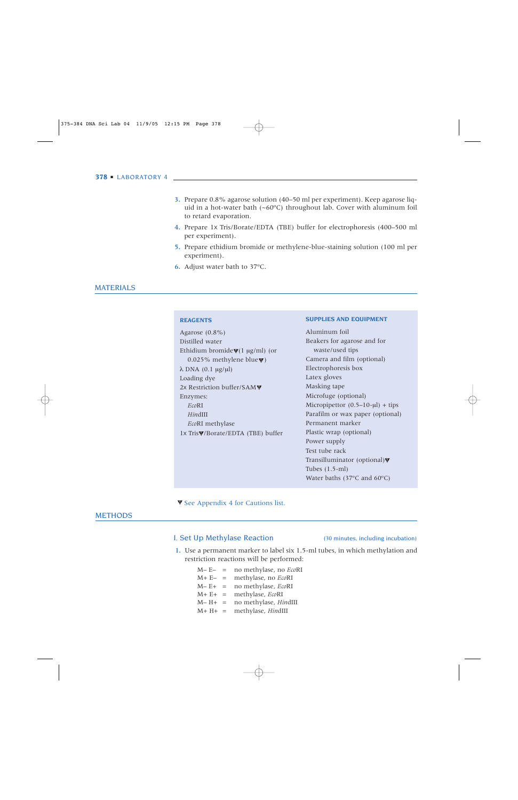- 3. Prepare 0.8% agarose solution (40–50 ml per experiment). Keep agarose liquid in a hot-water bath (~60ºC) throughout lab. Cover with aluminum foil to retard evaporation.
- 4. Prepare 1x Tris/Borate/EDTA (TBE) buffer for electrophoresis (400–500 ml per experiment).
- 5. Prepare ethidium bromide or methylene-blue-staining solution (100 ml per experiment).
- 6. Adjust water bath to 37ºC.

#### MATERIALS

#### **REAGENTS**

Agarose (0.8%) Distilled water Ethidium bromide $\Psi(1 \mu g/ml)$  (or 0.025% methylene blue $\Psi$ )  $λ$  DNA (0.1  $\mu$ g/ $\mu$ l) Loading dye 2x Restriction buffer/SAMV Enzymes: *Eco*RI *Hin*dIII *Eco*RI methylase 1x Tris V/Borate/EDTA (TBE) buffer

#### **SUPPLIES AND EQUIPMENT**

Aluminum foil Beakers for agarose and for waste/used tips Camera and film (optional) Electrophoresis box Latex gloves Masking tape Microfuge (optional) Micropipettor  $(0.5-10- $\mu$ l) + tips$ Parafilm or wax paper (optional) Permanent marker Plastic wrap (optional) Power supply Test tube rack Transilluminator (optional) $\Psi$ Tubes (1.5-ml) Water baths (37ºC and 60ºC)

**V** See Appendix 4 for Cautions list.

#### **METHODS**

#### I. Set Up Methylase Reaction (30 minutes, including incubation)

- 1. Use a permanent marker to label six 1.5-ml tubes, in which methylation and restriction reactions will be performed:
	- M– E– = no methylase, no *Eco*RI M+ E– = methylase, no *Eco*RI M– E+ = no methylase, *Eco*RI M+ E+ = methylase, *Eco*RI M– H+ = no methylase, *Hin*dIII M+ H+ = methylase, *Hin*dIII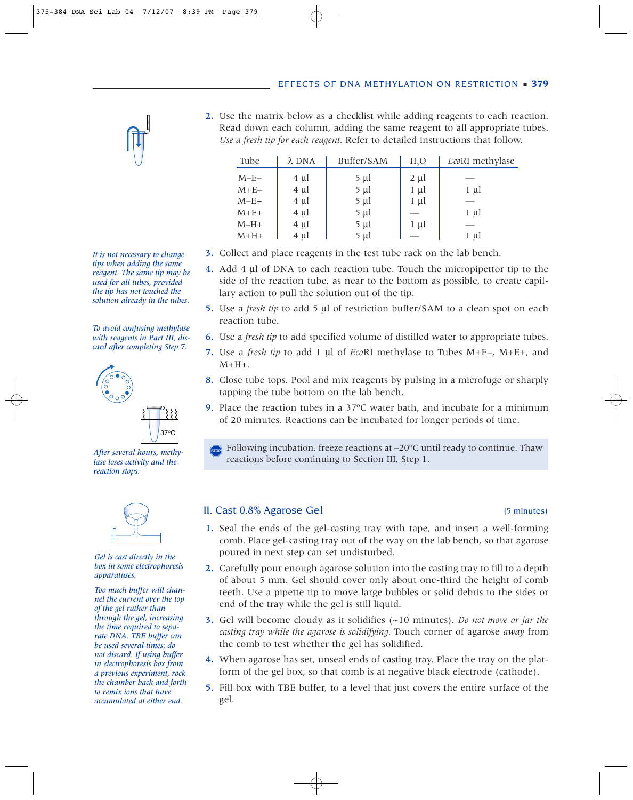| M+E+   | 4 µl | 5 µl |    | μl    |
|--------|------|------|----|-------|
| $M-H+$ | 4 µl | 5 µl | ul |       |
| $M+H+$ | 4 µl | 5 µl |    | $\mu$ |

*It is not necessary to change tips when adding the same reagent. The same tip may be used for all tubes, provided the tip has not touched the solution already in the tubes.*

*To avoid confusing methylase with reagents in Part III, discard after completing Step 7.*





*lase loses activity and the reaction stops.*



*Gel is cast directly in the box in some electrophoresis apparatuses.*

*Too much buffer will chan-*

- 3. Collect and place reagents in the test tube rack on the lab bench.
	- 4. Add 4 μl of DNA to each reaction tube. Touch the micropipettor tip to the side of the reaction tube, as near to the bottom as possible, to create capi lary action to pull the solution out of the tip.
	- 5. Use a *fresh tip* to add 5 μl of restriction buffer/SAM to a clean spot on each reaction tube.
	- 6. Use a *fresh tip* to add specified volume of distilled water to appropriate tubes.
	- 7. Use a *fresh tip* to add 1 μl of *Eco*RI methylase to Tubes M+E–, M+E+, and  $M+H+$ .
	- 8. Close tube tops. Pool and mix reagents by pulsing in a microfuge or sharp tapping the tube bottom on the lab bench.
	- 9. Place the reaction tubes in a  $37^{\circ}$ C water bath, and incubate for a minimum of 20 minutes. Reactions can be incubated for longer periods of time.
- Following incubation, freeze reactions at  $-20^{\circ}$ C until ready to continue. Thaw *After several hours, methy-*<br>*Inselections before continuing to Section III, Step 1. After several hours, methy-* reactions before continuing to Section III, Step 1.

# II. Cast 0.8% Agarose Gel (5 minutes) (5 minutes)

- 1. Seal the ends of the gel-casting tray with tape, and insert a well-forming comb. Place gel-casting tray out of the way on the lab bench, so that agaros poured in next step can set undisturbed.
- 2. Carefully pour enough agarose solution into the casting tray to fill to a depth of about 5 mm. Gel should cover only about one-third the height of comb teeth. Use a pipette tip to move large bubbles or solid debris to the sides or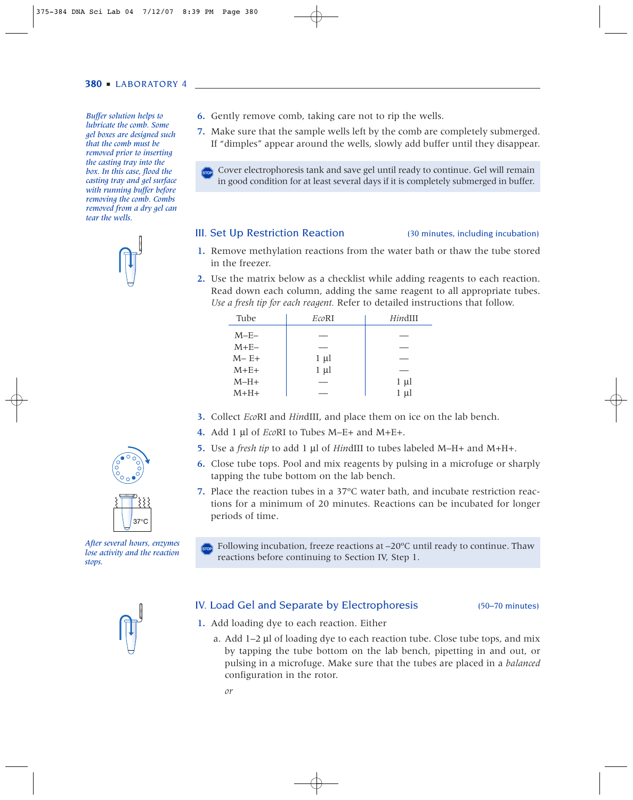*removed from a dry gel can ar the wells.* 



## III. Set Up Restriction Reaction (30 minutes, including incubation)

- 1. Remove methylation reactions from the water bath or thaw the tube stored in the freezer.
- 2. Use the matrix below as a checklist while adding reagents to each reaction. Read down each column, adding the same reagent to all appropriate tubes. *Use a fresh tip for each reagent.* Refer to detailed instructions that follow.

| M–E–<br>$M+E-$<br>$1 \mu l$<br>$M - E +$<br>$1 \mu l$<br>$M+E+$<br>$M-H+$ |
|---------------------------------------------------------------------------|
|                                                                           |
|                                                                           |
|                                                                           |
|                                                                           |
| $1 \mu l$                                                                 |
| $1 \mu$<br>$M+H+$                                                         |

- 3. Collect *Eco*RI and *Hin*dIII, and place them on ice on the lab bench.
- 4. Add 1 μl of *Eco*RI to Tubes M–E+ and M+E+.
- 5. Use a *fresh tip* to add 1 μl of *Hin*dIII to tubes labeled M–H+ and M+H+.
- 6. Close tube tops. Pool and mix reagents by pulsing in a microfuge or sharply tapping the tube bottom on the lab bench.
- 7. Place the reaction tubes in a 37ºC water bath, and incubate restriction reactions for a minimum of 20 minutes. Reactions can be incubated for longer periods of time.



Following incubation, freeze reactions at  $-20^{\circ}$ C until ready to continue. Thaw reactions before continuing to Section IV, Step 1.

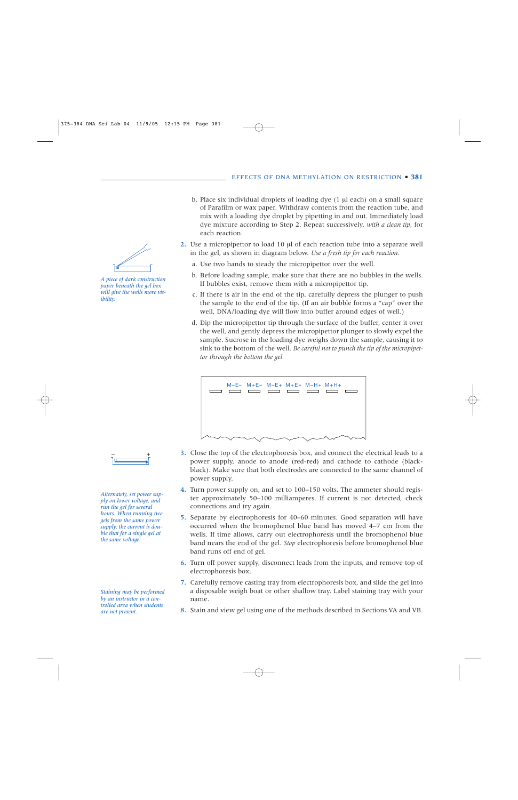- b. Place six individual droplets of loading dye (1 µl each) on a small square of Parafilm or wax paper. Withdraw contents from the reaction tube, and mix with a loading dye droplet by pipetting in and out. Immediately load dye mixture according to Step 2. Repeat successively, *with a clean tip*, for each reaction.
- 2. Use a micropipettor to load 10 µl of each reaction tube into a separate well in the gel, as shown in diagram below. *Use a fresh tip for each reaction.*
	- a. Use two hands to steady the micropipettor over the well.
	- b. Before loading sample, make sure that there are no bubbles in the wells. If bubbles exist, remove them with a micropipettor tip.
	- c. If there is air in the end of the tip, carefully depress the plunger to push the sample to the end of the tip. (If an air bubble forms a "cap" over the well, DNA/loading dye will flow into buffer around edges of well.)
	- d. Dip the micropipettor tip through the surface of the buffer, center it over the well, and gently depress the micropipettor plunger to slowly expel the sample. Sucrose in the loading dye weighs down the sample, causing it to sink to the bottom of the well. *Be careful not to punch the tip of the micropipettor through the bottom the gel.*



- 3. Close the top of the electrophoresis box, and connect the electrical leads to a power supply, anode to anode (red-red) and cathode to cathode (blackblack). Make sure that both electrodes are connected to the same channel of power supply.
	- 4. Turn power supply on, and set to 100–150 volts. The ammeter should register approximately 50–100 milliamperes. If current is not detected, check connections and try again.
	- 5. Separate by electrophoresis for 40–60 minutes. Good separation will have occurred when the bromophenol blue band has moved 4–7 cm from the wells. If time allows, carry out electrophoresis until the bromophenol blue band nears the end of the gel. *Stop* electrophoresis before bromophenol blue band runs off end of gel.
	- 6. Turn off power supply, disconnect leads from the inputs, and remove top of electrophoresis box.
	- 7. Carefully remove casting tray from electrophoresis box, and slide the gel into a disposable weigh boat or other shallow tray. Label staining tray with your name.
	- 8. Stain and view gel using one of the methods described in Sections VA and VB.



*A piece of dark construction paper beneath the gel box will give the wells more visibility.*



*Alternately, set power supply on lower voltage, and run the gel for several hours. When running two gels from the same power supply, the current is double that for a single gel at the same voltage.*

*Staining may be performed by an instructor in a controlled area when students are not present.*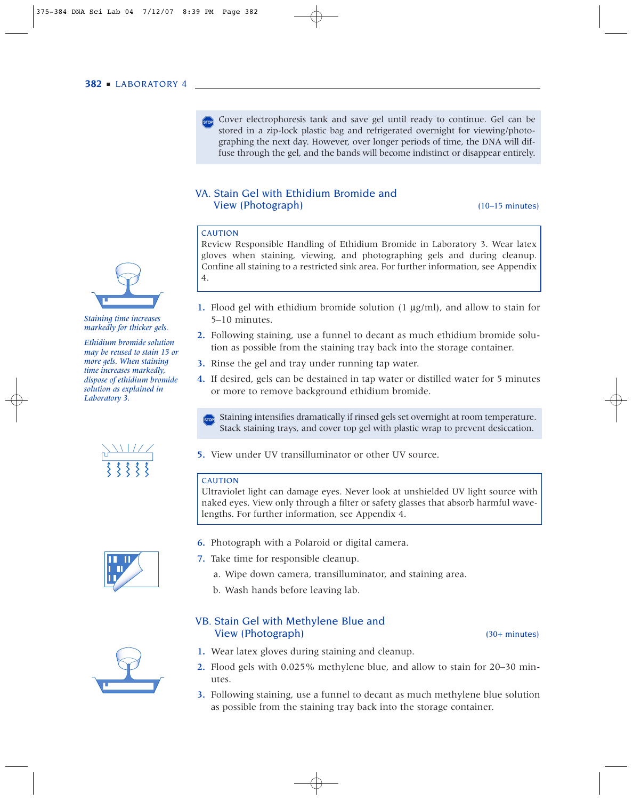



#### CAUTION

Review Responsible Handling of Ethidium Bromide in Laboratory 3. Wear latex gloves when staining, viewing, and photographing gels and during cleanup. Confine all staining to a restricted sink area. For further information, see Appendix 4.

- 1. Flood gel with ethidium bromide solution (1 μg/ml), and allow to stain for 5–10 minutes.
- 2. Following staining, use a funnel to decant as much ethidium bromide solution as possible from the staining tray back into the storage container.
- 3. Rinse the gel and tray under running tap water.
- 4. If desired, gels can be destained in tap water or distilled water for 5 minutes or more to remove background ethidium bromide.
	- Staining intensifies dramatically if rinsed gels set overnight at room temperature. Stack staining trays, and cover top gel with plastic wrap to prevent desiccation. -
- 5. View under UV transilluminator or other UV source.

#### CAUTION

Ultraviolet light can damage eyes. Never look at unshielded UV light source with naked eyes. View only through a filter or safety glasses that absorb harmful wavelengths. For further information, see Appendix 4.

- 6. Photograph with a Polaroid or digital camera.
- 7. Take time for responsible cleanup.
	- a. Wipe down camera, transilluminator, and staining area.
	- b. Wash hands before leaving lab.



*Staining time increases markedly for thicker gels.*

*Ethidium bromide solution may be reused to stain 15 or more gels. When staining time increases markedly, dispose of ethidium bromide solution as explained in Laboratory 3.*



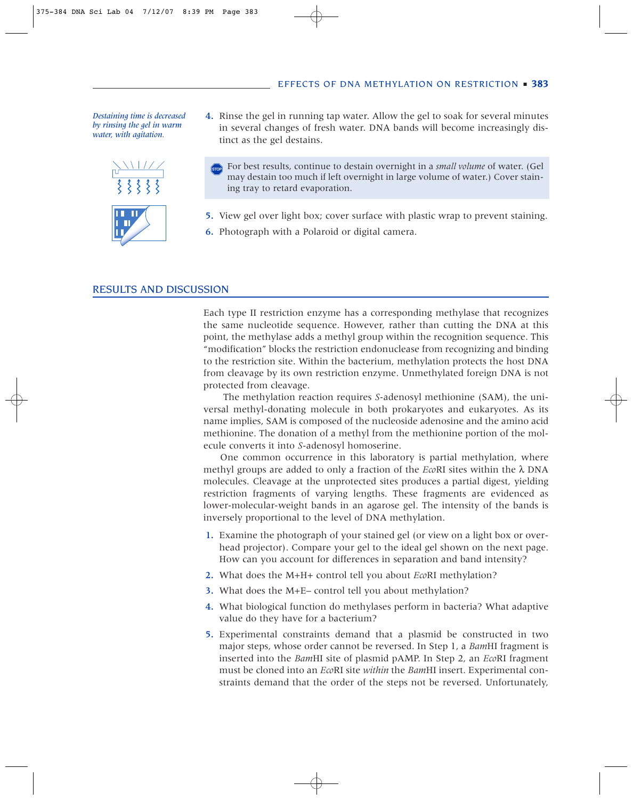

- 5. View gel over light box; cover surface with plastic wrap to prevent staining.
- 6. Photograph with a Polaroid or digital camera.

# RESULTS AND DISCUSSION

Each type II restriction enzyme has a corresponding methylase that recognizes the same nucleotide sequence. However, rather than cutting the DNA at the point, the methylase adds a methyl group within the recognition sequence. The "modification" blocks the restriction endonuclease from recognizing and binding to the restriction site. Within the bacterium, methylation protects the host DN from cleavage by its own restriction enzyme. Unmethylated foreign DNA is not protected from cleavage.

The methylation reaction requires *S*-adenosyl methionine (SAM), the universal methyl-donating molecule in both prokaryotes and eukaryotes. As it name implies, SAM is composed of the nucleoside adenosine and the amino ac methionine. The donation of a methyl from the methionine portion of the molecule converts it into *S*-adenosyl homoserine.

One common occurrence in this laboratory is partial methylation, where methyl groups are added to only a fraction of the *Eco*RI sites within the λ DNA molecules. Cleavage at the unprotected sites produces a partial digest, yielding restriction fragments of varying lengths. These fragments are evidenced lower-molecular-weight bands in an agarose gel. The intensity of the bands inversely proportional to the level of DNA methylation.

- 1. Examine the photograph of your stained gel (or view on a light box or overhead projector). Compare your gel to the ideal gel shown on the next page. How can you account for differences in separation and band intensity?
- 2. What does the M+H+ control tell you about *Eco*RI methylation?
- 3. What does the M+E– control tell you about methylation?